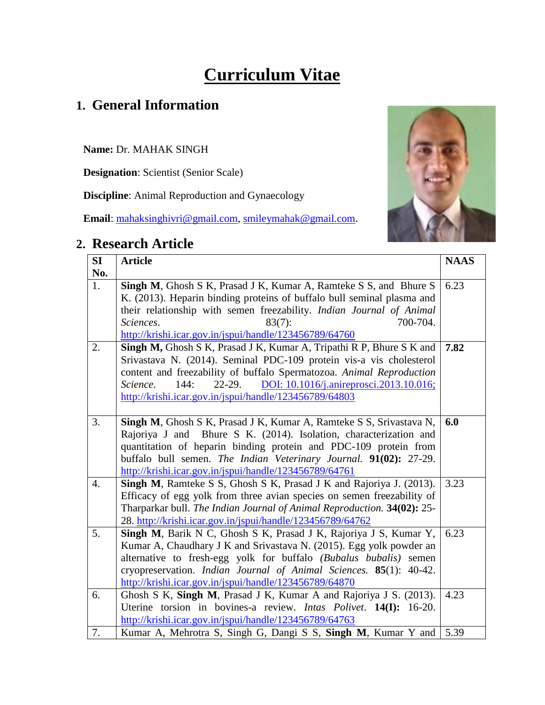# **Curriculum Vitae**

# **1. General Information**

**Name:** Dr. MAHAK SINGH

**Designation**: Scientist (Senior Scale)

**Discipline**: Animal Reproduction and Gynaecology

**Email**: [mahaksinghivri@gmail.com,](mailto:mahaksinghivri@gmail.com) [smileymahak@gmail.com.](mailto:smileymahak@gmail.com)

# **2. Research Article**



| SI  | <b>Article</b>                                                                   | <b>NAAS</b> |
|-----|----------------------------------------------------------------------------------|-------------|
| No. |                                                                                  |             |
| 1.  | Singh M, Ghosh S K, Prasad J K, Kumar A, Ramteke S S, and Bhure S                | 6.23        |
|     | K. (2013). Heparin binding proteins of buffalo bull seminal plasma and           |             |
|     | their relationship with semen freezability. Indian Journal of Animal             |             |
|     | $83(7)$ :<br>700-704.<br>Sciences.                                               |             |
|     | http://krishi.icar.gov.in/jspui/handle/123456789/64760                           |             |
| 2.  | Singh M, Ghosh S K, Prasad J K, Kumar A, Tripathi R P, Bhure S K and             | 7.82        |
|     | Srivastava N. (2014). Seminal PDC-109 protein vis-a vis cholesterol              |             |
|     | content and freezability of buffalo Spermatozoa. Animal Reproduction             |             |
|     | $22-29.$<br>DOI: 10.1016/j.anireprosci.2013.10.016;<br>144:<br>Science.          |             |
|     | http://krishi.icar.gov.in/jspui/handle/123456789/64803                           |             |
|     |                                                                                  |             |
| 3.  | Singh M, Ghosh S K, Prasad J K, Kumar A, Ramteke S S, Srivastava N,              | 6.0         |
|     | Rajoriya J and Bhure S K. (2014). Isolation, characterization and                |             |
|     | quantitation of heparin binding protein and PDC-109 protein from                 |             |
|     | buffalo bull semen. The Indian Veterinary Journal. 91(02): 27-29.                |             |
|     | http://krishi.icar.gov.in/jspui/handle/123456789/64761                           |             |
| 4.  | <b>Singh M, Ramteke S S, Ghosh S K, Prasad J K and Rajoriya J. (2013).</b>       | 3.23        |
|     | Efficacy of egg yolk from three avian species on semen freezability of           |             |
|     | Tharparkar bull. The Indian Journal of Animal Reproduction. 34(02): 25-          |             |
|     | 28. http://krishi.icar.gov.in/jspui/handle/123456789/64762                       |             |
| 5.  | Singh M, Barik N C, Ghosh S K, Prasad J K, Rajoriya J S, Kumar Y,                | 6.23        |
|     | Kumar A, Chaudhary J K and Srivastava N. (2015). Egg yolk powder an              |             |
|     | alternative to fresh-egg yolk for buffalo (Bubalus bubalis) semen                |             |
|     | cryopreservation. Indian Journal of Animal Sciences. 85(1): 40-42.               |             |
|     | http://krishi.icar.gov.in/jspui/handle/123456789/64870                           |             |
| 6.  | Ghosh S K, Singh M, Prasad J K, Kumar A and Rajoriya J S. (2013).                | 4.23        |
|     | Uterine torsion in bovines-a review. <i>Intas Polivet</i> . <b>14(I):</b> 16-20. |             |
|     | http://krishi.icar.gov.in/jspui/handle/123456789/64763                           |             |
| 7.  | Kumar A, Mehrotra S, Singh G, Dangi S S, Singh M, Kumar Y and                    | 5.39        |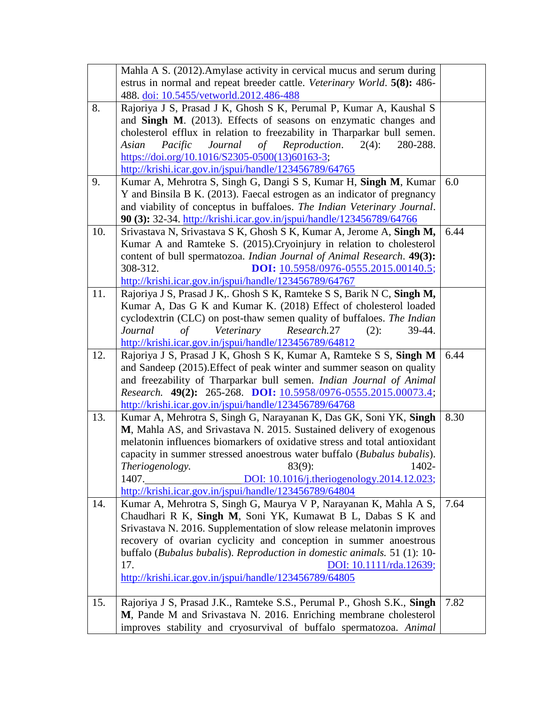|     | Mahla A S. (2012). Amylase activity in cervical mucus and serum during                                                                        |      |
|-----|-----------------------------------------------------------------------------------------------------------------------------------------------|------|
|     | estrus in normal and repeat breeder cattle. Veterinary World. 5(8): 486-                                                                      |      |
|     | 488. doi: 10.5455/vetworld.2012.486-488                                                                                                       |      |
| 8.  | Rajoriya J S, Prasad J K, Ghosh S K, Perumal P, Kumar A, Kaushal S                                                                            |      |
|     | and Singh M. (2013). Effects of seasons on enzymatic changes and                                                                              |      |
|     | cholesterol efflux in relation to freezability in Tharparkar bull semen.                                                                      |      |
|     | Journal<br>Reproduction.<br>Pacific<br>of<br>$2(4)$ :<br>Asian<br>280-288.                                                                    |      |
|     | https://doi.org/10.1016/S2305-0500(13)60163-3;                                                                                                |      |
|     | http://krishi.icar.gov.in/jspui/handle/123456789/64765                                                                                        |      |
| 9.  | Kumar A, Mehrotra S, Singh G, Dangi S S, Kumar H, Singh M, Kumar                                                                              | 6.0  |
|     | Y and Binsila B K. (2013). Faecal estrogen as an indicator of pregnancy                                                                       |      |
|     | and viability of conceptus in buffaloes. The Indian Veterinary Journal.                                                                       |      |
|     | 90 (3): 32-34. http://krishi.icar.gov.in/jspui/handle/123456789/64766                                                                         |      |
| 10. | Srivastava N, Srivastava S K, Ghosh S K, Kumar A, Jerome A, Singh M,                                                                          | 6.44 |
|     | Kumar A and Ramteke S. (2015). Cryoinjury in relation to cholesterol                                                                          |      |
|     | content of bull spermatozoa. Indian Journal of Animal Research. 49(3):                                                                        |      |
|     | 308-312.<br>DOI: 10.5958/0976-0555.2015.00140.5;                                                                                              |      |
|     | http://krishi.icar.gov.in/jspui/handle/123456789/64767                                                                                        |      |
| 11. | Rajoriya J S, Prasad J K,. Ghosh S K, Ramteke S S, Barik N C, Singh M,                                                                        |      |
|     | Kumar A, Das G K and Kumar K. (2018) Effect of cholesterol loaded                                                                             |      |
|     | cyclodextrin (CLC) on post-thaw semen quality of buffaloes. The Indian                                                                        |      |
|     | Veterinary<br>of<br>Research.27<br>$(2)$ :<br>39-44.<br>Journal                                                                               |      |
|     | http://krishi.icar.gov.in/jspui/handle/123456789/64812                                                                                        |      |
| 12. | Rajoriya J S, Prasad J K, Ghosh S K, Kumar A, Ramteke S S, Singh M                                                                            | 6.44 |
|     | and Sandeep (2015). Effect of peak winter and summer season on quality                                                                        |      |
|     | and freezability of Tharparkar bull semen. Indian Journal of Animal                                                                           |      |
|     | Research. 49(2): 265-268. DOI: 10.5958/0976-0555.2015.00073.4;                                                                                |      |
|     | http://krishi.icar.gov.in/jspui/handle/123456789/64768                                                                                        |      |
| 13. | Kumar A, Mehrotra S, Singh G, Narayanan K, Das GK, Soni YK, Singh                                                                             | 8.30 |
|     | M, Mahla AS, and Srivastava N. 2015. Sustained delivery of exogenous                                                                          |      |
|     | melatonin influences biomarkers of oxidative stress and total antioxidant                                                                     |      |
|     | capacity in summer stressed anoestrous water buffalo (Bubalus bubalis).                                                                       |      |
|     | Theriogenology.<br>$83(9)$ :<br>1402-                                                                                                         |      |
|     | DOI: 10.1016/j.theriogenology.2014.12.023;<br>1407.                                                                                           |      |
|     | http://krishi.icar.gov.in/jspui/handle/123456789/64804                                                                                        |      |
| 14. | Kumar A, Mehrotra S, Singh G, Maurya V P, Narayanan K, Mahla A S,                                                                             | 7.64 |
|     | Chaudhari R K, Singh M, Soni YK, Kumawat B L, Dabas S K and                                                                                   |      |
|     | Srivastava N. 2016. Supplementation of slow release melatonin improves                                                                        |      |
|     | recovery of ovarian cyclicity and conception in summer anoestrous<br>buffalo (Bubalus bubalis). Reproduction in domestic animals. 51 (1): 10- |      |
|     | 17.                                                                                                                                           |      |
|     | DOI: 10.1111/rda.12639;<br>http://krishi.icar.gov.in/jspui/handle/123456789/64805                                                             |      |
|     |                                                                                                                                               |      |
| 15. | Rajoriya J S, Prasad J.K., Ramteke S.S., Perumal P., Ghosh S.K., Singh                                                                        | 7.82 |
|     | M, Pande M and Srivastava N. 2016. Enriching membrane cholesterol                                                                             |      |
|     | improves stability and cryosurvival of buffalo spermatozoa. Animal                                                                            |      |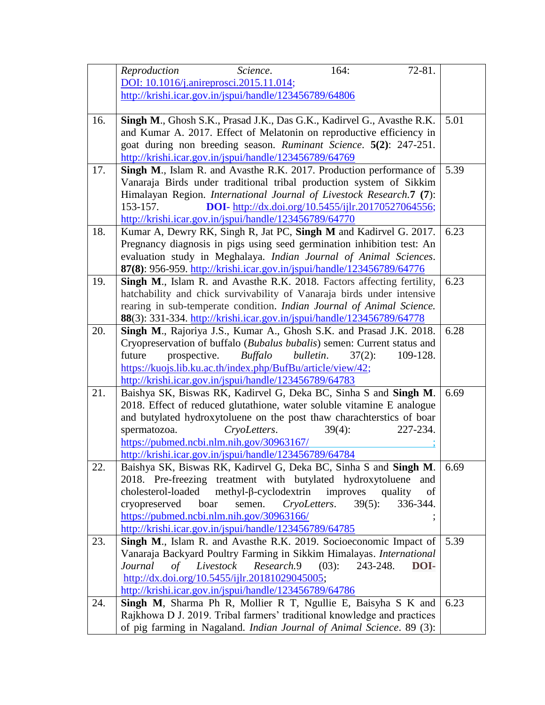|     | Reproduction<br>Science.<br>164:<br>72-81.                                                                                                       |      |
|-----|--------------------------------------------------------------------------------------------------------------------------------------------------|------|
|     | DOI: 10.1016/j.anireprosci.2015.11.014;                                                                                                          |      |
|     | http://krishi.icar.gov.in/jspui/handle/123456789/64806                                                                                           |      |
|     |                                                                                                                                                  |      |
| 16. | Singh M., Ghosh S.K., Prasad J.K., Das G.K., Kadirvel G., Avasthe R.K.                                                                           | 5.01 |
|     | and Kumar A. 2017. Effect of Melatonin on reproductive efficiency in                                                                             |      |
|     | goat during non breeding season. Ruminant Science. 5(2): 247-251.                                                                                |      |
|     | http://krishi.icar.gov.in/jspui/handle/123456789/64769                                                                                           |      |
| 17. | Singh M., Islam R. and Avasthe R.K. 2017. Production performance of                                                                              | 5.39 |
|     | Vanaraja Birds under traditional tribal production system of Sikkim                                                                              |      |
|     | Himalayan Region. International Journal of Livestock Research.7 (7):                                                                             |      |
|     | 153-157.<br><b>DOI-</b> http://dx.doi.org/10.5455/ijlr.20170527064556;                                                                           |      |
|     | http://krishi.icar.gov.in/jspui/handle/123456789/64770                                                                                           |      |
| 18. | Kumar A, Dewry RK, Singh R, Jat PC, Singh M and Kadirvel G. 2017.                                                                                | 6.23 |
|     | Pregnancy diagnosis in pigs using seed germination inhibition test: An                                                                           |      |
|     | evaluation study in Meghalaya. Indian Journal of Animal Sciences.                                                                                |      |
| 19. | 87(8): 956-959. http://krishi.icar.gov.in/jspui/handle/123456789/64776<br>Singh M., Islam R. and Avasthe R.K. 2018. Factors affecting fertility, | 6.23 |
|     | hatchability and chick survivability of Vanaraja birds under intensive                                                                           |      |
|     | rearing in sub-temperate condition. Indian Journal of Animal Science.                                                                            |      |
|     | 88(3): 331-334. http://krishi.icar.gov.in/jspui/handle/123456789/64778                                                                           |      |
| 20. | Singh M., Rajoriya J.S., Kumar A., Ghosh S.K. and Prasad J.K. 2018.                                                                              | 6.28 |
|     | Cryopreservation of buffalo (Bubalus bubalis) semen: Current status and                                                                          |      |
|     | prospective.<br><b>Buffalo</b><br>future<br>bulletin.<br>109-128.<br>$37(2)$ :                                                                   |      |
|     | https://kuojs.lib.ku.ac.th/index.php/BufBu/article/view/42;                                                                                      |      |
|     | http://krishi.icar.gov.in/jspui/handle/123456789/64783                                                                                           |      |
| 21. | Baishya SK, Biswas RK, Kadirvel G, Deka BC, Sinha S and Singh M.                                                                                 | 6.69 |
|     | 2018. Effect of reduced glutathione, water soluble vitamine E analogue                                                                           |      |
|     | and butylated hydroxytoluene on the post thaw charachterstics of boar                                                                            |      |
|     | spermatozoa.<br>227-234.<br>CryoLetters.<br>$39(4)$ :                                                                                            |      |
|     | https://pubmed.ncbi.nlm.nih.gov/30963167/                                                                                                        |      |
|     | http://krishi.icar.gov.in/jspui/handle/123456789/64784                                                                                           |      |
| 22. | Baishya SK, Biswas RK, Kadirvel G, Deka BC, Sinha S and Singh M.                                                                                 | 6.69 |
|     | 2018. Pre-freezing treatment with butylated hydroxytoluene<br>and                                                                                |      |
|     | $methyl-\beta-cyclodextrin$<br>improves<br>cholesterol-loaded<br>quality<br>of                                                                   |      |
|     | CryoLetters.<br>cryopreserved<br>boar<br>semen.<br>$39(5)$ :<br>336-344.                                                                         |      |
|     | https://pubmed.ncbi.nlm.nih.gov/30963166/                                                                                                        |      |
|     | http://krishi.icar.gov.in/jspui/handle/123456789/64785                                                                                           |      |
| 23. | Singh M., Islam R. and Avasthe R.K. 2019. Socioeconomic Impact of                                                                                | 5.39 |
|     | Vanaraja Backyard Poultry Farming in Sikkim Himalayas. International                                                                             |      |
|     | Livestock<br>Research.9<br>Journal<br>of<br>$(03)$ :<br>243-248.<br>DOI-                                                                         |      |
|     | http://dx.doi.org/10.5455/ijlr.20181029045005;                                                                                                   |      |
|     | http://krishi.icar.gov.in/jspui/handle/123456789/64786                                                                                           | 6.23 |
| 24. | Singh M, Sharma Ph R, Mollier R T, Ngullie E, Baisyha S K and<br>Rajkhowa D J. 2019. Tribal farmers' traditional knowledge and practices         |      |
|     | of pig farming in Nagaland. Indian Journal of Animal Science. 89 (3):                                                                            |      |
|     |                                                                                                                                                  |      |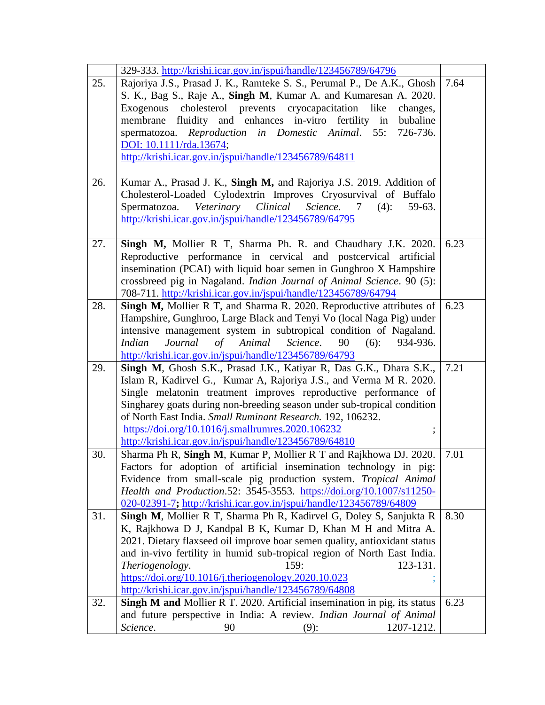|     | 329-333. http://krishi.icar.gov.in/jspui/handle/123456789/64796                                                                          |      |
|-----|------------------------------------------------------------------------------------------------------------------------------------------|------|
| 25. | Rajoriya J.S., Prasad J. K., Ramteke S. S., Perumal P., De A.K., Ghosh                                                                   | 7.64 |
|     | S. K., Bag S., Raje A., Singh M, Kumar A. and Kumaresan A. 2020.                                                                         |      |
|     | cholesterol prevents cryocapacitation<br>like<br>Exogenous<br>changes,                                                                   |      |
|     | fluidity and enhances in-vitro fertility in bubaline<br>membrane                                                                         |      |
|     | Reproduction in Domestic Animal.<br>55:<br>726-736.<br>spermatozoa.                                                                      |      |
|     | DOI: 10.1111/rda.13674;                                                                                                                  |      |
|     | http://krishi.icar.gov.in/jspui/handle/123456789/64811                                                                                   |      |
|     |                                                                                                                                          |      |
| 26. | Kumar A., Prasad J. K., Singh M, and Rajoriya J.S. 2019. Addition of                                                                     |      |
|     | Cholesterol-Loaded Cylodextrin Improves Cryosurvival of Buffalo                                                                          |      |
|     | Spermatozoa. Veterinary Clinical<br>Science.<br>$(4)$ :<br>59-63.<br>7                                                                   |      |
|     | http://krishi.icar.gov.in/jspui/handle/123456789/64795                                                                                   |      |
| 27. | Singh M, Mollier R T, Sharma Ph. R. and Chaudhary J.K. 2020.                                                                             | 6.23 |
|     | Reproductive performance in cervical and postcervical artificial                                                                         |      |
|     | insemination (PCAI) with liquid boar semen in Gunghroo X Hampshire                                                                       |      |
|     | crossbreed pig in Nagaland. Indian Journal of Animal Science. 90 (5):                                                                    |      |
|     | 708-711. http://krishi.icar.gov.in/jspui/handle/123456789/64794                                                                          |      |
| 28. | Singh M, Mollier R T, and Sharma R. 2020. Reproductive attributes of                                                                     | 6.23 |
|     | Hampshire, Gunghroo, Large Black and Tenyi Vo (local Naga Pig) under                                                                     |      |
|     | intensive management system in subtropical condition of Nagaland.                                                                        |      |
|     | Animal<br>Science.<br>90<br><i>Indian</i><br>Journal<br>$\sigma f$<br>$(6)$ :<br>934-936.                                                |      |
|     | http://krishi.icar.gov.in/jspui/handle/123456789/64793                                                                                   |      |
| 29. | Singh M, Ghosh S.K., Prasad J.K., Katiyar R, Das G.K., Dhara S.K.,                                                                       | 7.21 |
|     | Islam R, Kadirvel G., Kumar A, Rajoriya J.S., and Verma M R. 2020.                                                                       |      |
|     | Single melatonin treatment improves reproductive performance of                                                                          |      |
|     | Singharey goats during non-breeding season under sub-tropical condition                                                                  |      |
|     | of North East India. Small Ruminant Research. 192, 106232.                                                                               |      |
|     | https://doi.org/10.1016/j.smallrumres.2020.106232                                                                                        |      |
|     | http://krishi.icar.gov.in/jspui/handle/123456789/64810                                                                                   |      |
| 30. | Sharma Ph R, Singh M, Kumar P, Mollier R T and Rajkhowa DJ. 2020.                                                                        | 7.01 |
|     | Factors for adoption of artificial insemination technology in pig:                                                                       |      |
|     | Evidence from small-scale pig production system. Tropical Animal<br>Health and Production.52: 3545-3553. https://doi.org/10.1007/s11250- |      |
|     | 020-02391-7; http://krishi.icar.gov.in/jspui/handle/123456789/64809                                                                      |      |
| 31. | Singh M, Mollier R T, Sharma Ph R, Kadirvel G, Doley S, Sanjukta R                                                                       | 8.30 |
|     | K, Rajkhowa D J, Kandpal B K, Kumar D, Khan M H and Mitra A.                                                                             |      |
|     | 2021. Dietary flaxseed oil improve boar semen quality, antioxidant status                                                                |      |
|     | and in-vivo fertility in humid sub-tropical region of North East India.                                                                  |      |
|     | Theriogenology.<br>159:<br>123-131.                                                                                                      |      |
|     | https://doi.org/10.1016/j.theriogenology.2020.10.023                                                                                     |      |
|     | http://krishi.icar.gov.in/jspui/handle/123456789/64808                                                                                   |      |
| 32. | Singh M and Mollier R T. 2020. Artificial insemination in pig, its status                                                                | 6.23 |
|     | and future perspective in India: A review. Indian Journal of Animal                                                                      |      |
|     | 1207-1212.<br>Science.<br>90<br>$(9)$ :                                                                                                  |      |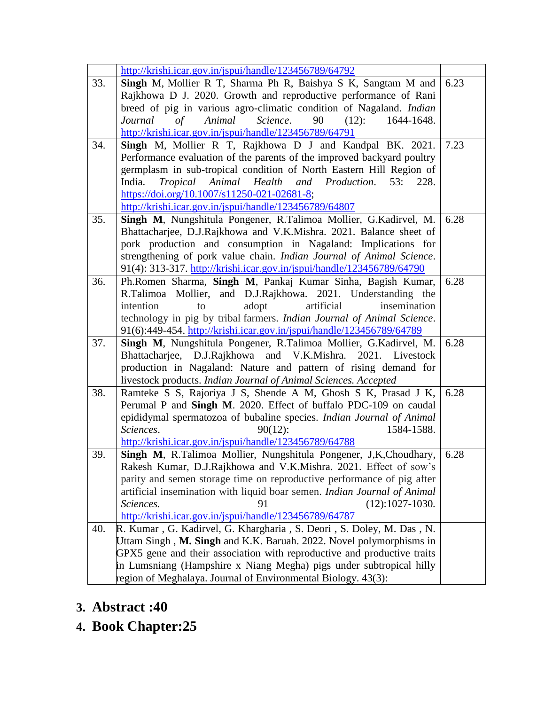|     | http://krishi.icar.gov.in/jspui/handle/123456789/64792                      |      |
|-----|-----------------------------------------------------------------------------|------|
| 33. | Singh M, Mollier R T, Sharma Ph R, Baishya S K, Sangtam M and               | 6.23 |
|     | Rajkhowa D J. 2020. Growth and reproductive performance of Rani             |      |
|     | breed of pig in various agro-climatic condition of Nagaland. Indian         |      |
|     | $\sigma f$<br>Animal<br>Science.<br>Journal<br>90<br>$(12)$ :<br>1644-1648. |      |
|     | http://krishi.icar.gov.in/jspui/handle/123456789/64791                      |      |
| 34. | Singh M, Mollier R T, Rajkhowa D J and Kandpal BK. 2021.                    | 7.23 |
|     | Performance evaluation of the parents of the improved backyard poultry      |      |
|     | germplasm in sub-tropical condition of North Eastern Hill Region of         |      |
|     | Animal<br>Health<br>Production.<br>53:<br>India.<br>Tropical<br>and<br>228. |      |
|     | https://doi.org/10.1007/s11250-021-02681-8;                                 |      |
|     | http://krishi.icar.gov.in/jspui/handle/123456789/64807                      |      |
| 35. | Singh M, Nungshitula Pongener, R.Talimoa Mollier, G.Kadirvel, M.            | 6.28 |
|     | Bhattacharjee, D.J.Rajkhowa and V.K.Mishra. 2021. Balance sheet of          |      |
|     | pork production and consumption in Nagaland: Implications for               |      |
|     |                                                                             |      |
|     | strengthening of pork value chain. Indian Journal of Animal Science.        |      |
|     | 91(4): 313-317. http://krishi.icar.gov.in/jspui/handle/123456789/64790      |      |
| 36. | Ph.Romen Sharma, Singh M, Pankaj Kumar Sinha, Bagish Kumar,                 | 6.28 |
|     | R.Talimoa Mollier, and D.J.Rajkhowa. 2021. Understanding the                |      |
|     | artificial<br>intention<br>adopt<br>insemination<br>to                      |      |
|     | technology in pig by tribal farmers. Indian Journal of Animal Science.      |      |
|     | 91(6):449-454. http://krishi.icar.gov.in/jspui/handle/123456789/64789       |      |
| 37. | Singh M, Nungshitula Pongener, R.Talimoa Mollier, G.Kadirvel, M.            | 6.28 |
|     | Bhattacharjee, D.J.Rajkhowa and V.K.Mishra. 2021. Livestock                 |      |
|     | production in Nagaland: Nature and pattern of rising demand for             |      |
|     | livestock products. Indian Journal of Animal Sciences. Accepted             |      |
| 38. | Ramteke S S, Rajoriya J S, Shende A M, Ghosh S K, Prasad J K,               | 6.28 |
|     | Perumal P and Singh M. 2020. Effect of buffalo PDC-109 on caudal            |      |
|     | epididymal spermatozoa of bubaline species. Indian Journal of Animal        |      |
|     | Sciences.<br>1584-1588.<br>$90(12)$ :                                       |      |
|     | http://krishi.icar.gov.in/jspui/handle/123456789/64788                      |      |
| 39. | Singh M, R.Talimoa Mollier, Nungshitula Pongener, J,K,Choudhary,            | 6.28 |
|     | Rakesh Kumar, D.J.Rajkhowa and V.K.Mishra. 2021. Effect of sow's            |      |
|     | parity and semen storage time on reproductive performance of pig after      |      |
|     | artificial insemination with liquid boar semen. Indian Journal of Animal    |      |
|     | 91<br>$(12):1027-1030.$<br>Sciences.                                        |      |
|     | http://krishi.icar.gov.in/jspui/handle/123456789/64787                      |      |
| 40. | R. Kumar, G. Kadirvel, G. Khargharia, S. Deori, S. Doley, M. Das, N.        |      |
|     | Uttam Singh, M. Singh and K.K. Baruah. 2022. Novel polymorphisms in         |      |
|     | GPX5 gene and their association with reproductive and productive traits     |      |
|     | in Lumsniang (Hampshire x Niang Megha) pigs under subtropical hilly         |      |
|     |                                                                             |      |
|     | region of Meghalaya. Journal of Environmental Biology. 43(3):               |      |

- **3. Abstract :40**
- **4. Book Chapter:25**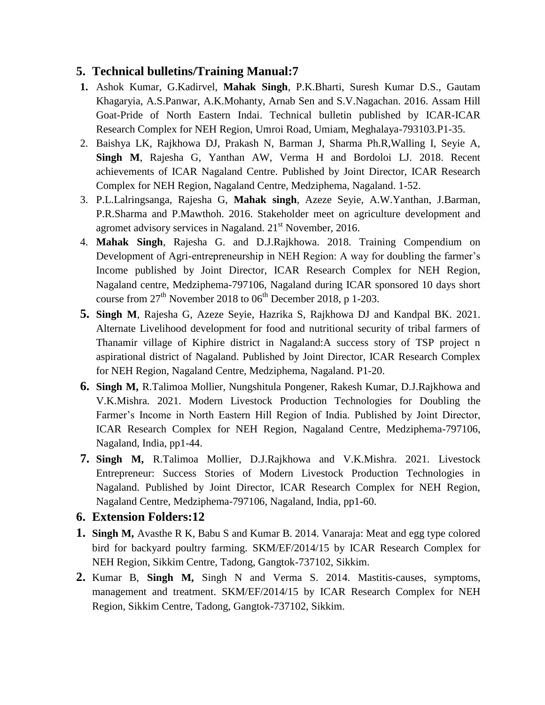#### **5. Technical bulletins/Training Manual:7**

- **1.** Ashok Kumar, G.Kadirvel, **Mahak Singh**, P.K.Bharti, Suresh Kumar D.S., Gautam Khagaryia, A.S.Panwar, A.K.Mohanty, Arnab Sen and S.V.Nagachan. 2016. Assam Hill Goat-Pride of North Eastern Indai. Technical bulletin published by ICAR-ICAR Research Complex for NEH Region, Umroi Road, Umiam, Meghalaya-793103.P1-35.
- 2. Baishya LK, Rajkhowa DJ, Prakash N, Barman J, Sharma Ph.R,Walling I, Seyie A, **Singh M**, Rajesha G, Yanthan AW, Verma H and Bordoloi LJ. 2018. Recent achievements of ICAR Nagaland Centre. Published by Joint Director, ICAR Research Complex for NEH Region, Nagaland Centre, Medziphema, Nagaland. 1-52.
- 3. P.L.Lalringsanga, Rajesha G, **Mahak singh**, Azeze Seyie, A.W.Yanthan, J.Barman, P.R.Sharma and P.Mawthoh. 2016. Stakeholder meet on agriculture development and agromet advisory services in Nagaland.  $21<sup>st</sup>$  November, 2016.
- 4. **Mahak Singh**, Rajesha G. and D.J.Rajkhowa. 2018. Training Compendium on Development of Agri-entrepreneurship in NEH Region: A way for doubling the farmer's Income published by Joint Director, ICAR Research Complex for NEH Region, Nagaland centre, Medziphema-797106, Nagaland during ICAR sponsored 10 days short course from  $27<sup>th</sup>$  November 2018 to 06<sup>th</sup> December 2018, p 1-203.
- **5. Singh M**, Rajesha G, Azeze Seyie, Hazrika S, Rajkhowa DJ and Kandpal BK. 2021. Alternate Livelihood development for food and nutritional security of tribal farmers of Thanamir village of Kiphire district in Nagaland:A success story of TSP project n aspirational district of Nagaland. Published by Joint Director, ICAR Research Complex for NEH Region, Nagaland Centre, Medziphema, Nagaland. P1-20.
- **6. Singh M,** R.Talimoa Mollier, Nungshitula Pongener, Rakesh Kumar, D.J.Rajkhowa and V.K.Mishra. 2021. Modern Livestock Production Technologies for Doubling the Farmer's Income in North Eastern Hill Region of India. Published by Joint Director, ICAR Research Complex for NEH Region, Nagaland Centre, Medziphema-797106, Nagaland, India, pp1-44.
- **7. Singh M,** R.Talimoa Mollier, D.J.Rajkhowa and V.K.Mishra. 2021. Livestock Entrepreneur: Success Stories of Modern Livestock Production Technologies in Nagaland. Published by Joint Director, ICAR Research Complex for NEH Region, Nagaland Centre, Medziphema-797106, Nagaland, India, pp1-60.
- **6. Extension Folders:12**
- **1. Singh M,** Avasthe R K, Babu S and Kumar B. 2014. Vanaraja: Meat and egg type colored bird for backyard poultry farming. SKM/EF/2014/15 by ICAR Research Complex for NEH Region, Sikkim Centre, Tadong, Gangtok-737102, Sikkim.
- **2.** Kumar B, **Singh M,** Singh N and Verma S. 2014. Mastitis-causes, symptoms, management and treatment. SKM/EF/2014/15 by ICAR Research Complex for NEH Region, Sikkim Centre, Tadong, Gangtok-737102, Sikkim.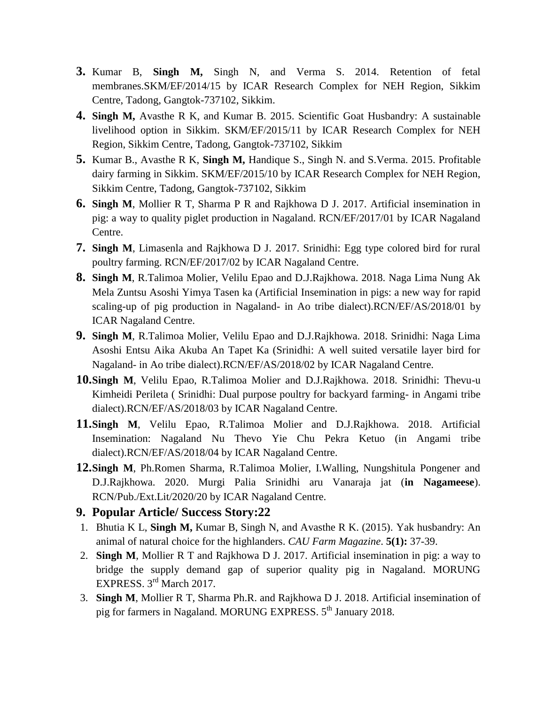- **3.** Kumar B, **Singh M,** Singh N, and Verma S. 2014. Retention of fetal membranes.SKM/EF/2014/15 by ICAR Research Complex for NEH Region, Sikkim Centre, Tadong, Gangtok-737102, Sikkim.
- **4. Singh M,** Avasthe R K, and Kumar B. 2015. Scientific Goat Husbandry: A sustainable livelihood option in Sikkim. SKM/EF/2015/11 by ICAR Research Complex for NEH Region, Sikkim Centre, Tadong, Gangtok-737102, Sikkim
- **5.** Kumar B., Avasthe R K, **Singh M,** Handique S., Singh N. and S.Verma. 2015. Profitable dairy farming in Sikkim. SKM/EF/2015/10 by ICAR Research Complex for NEH Region, Sikkim Centre, Tadong, Gangtok-737102, Sikkim
- **6. Singh M**, Mollier R T, Sharma P R and Rajkhowa D J. 2017. Artificial insemination in pig: a way to quality piglet production in Nagaland. RCN/EF/2017/01 by ICAR Nagaland Centre.
- **7. Singh M**, Limasenla and Rajkhowa D J. 2017. Srinidhi: Egg type colored bird for rural poultry farming. RCN/EF/2017/02 by ICAR Nagaland Centre.
- **8. Singh M**, R.Talimoa Molier, Velilu Epao and D.J.Rajkhowa. 2018. Naga Lima Nung Ak Mela Zuntsu Asoshi Yimya Tasen ka (Artificial Insemination in pigs: a new way for rapid scaling-up of pig production in Nagaland- in Ao tribe dialect).RCN/EF/AS/2018/01 by ICAR Nagaland Centre.
- **9. Singh M**, R.Talimoa Molier, Velilu Epao and D.J.Rajkhowa. 2018. Srinidhi: Naga Lima Asoshi Entsu Aika Akuba An Tapet Ka (Srinidhi: A well suited versatile layer bird for Nagaland- in Ao tribe dialect).RCN/EF/AS/2018/02 by ICAR Nagaland Centre.
- **10.Singh M**, Velilu Epao, R.Talimoa Molier and D.J.Rajkhowa. 2018. Srinidhi: Thevu-u Kimheidi Perileta ( Srinidhi: Dual purpose poultry for backyard farming- in Angami tribe dialect).RCN/EF/AS/2018/03 by ICAR Nagaland Centre.
- **11.Singh M**, Velilu Epao, R.Talimoa Molier and D.J.Rajkhowa. 2018. Artificial Insemination: Nagaland Nu Thevo Yie Chu Pekra Ketuo (in Angami tribe dialect).RCN/EF/AS/2018/04 by ICAR Nagaland Centre.
- **12.Singh M**, Ph.Romen Sharma, R.Talimoa Molier, I.Walling, Nungshitula Pongener and D.J.Rajkhowa. 2020. Murgi Palia Srinidhi aru Vanaraja jat (**in Nagameese**). RCN/Pub./Ext.Lit/2020/20 by ICAR Nagaland Centre.

#### **9. Popular Article/ Success Story:22**

- 1. Bhutia K L, **Singh M,** Kumar B, Singh N, and Avasthe R K. (2015). Yak husbandry: An animal of natural choice for the highlanders. *CAU Farm Magazine*. **5(1):** 37-39.
- 2. **Singh M**, Mollier R T and Rajkhowa D J. 2017. Artificial insemination in pig: a way to bridge the supply demand gap of superior quality pig in Nagaland. MORUNG EXPRESS. 3rd March 2017.
- 3. **Singh M**, Mollier R T, Sharma Ph.R. and Rajkhowa D J. 2018. Artificial insemination of pig for farmers in Nagaland. MORUNG EXPRESS. 5<sup>th</sup> January 2018.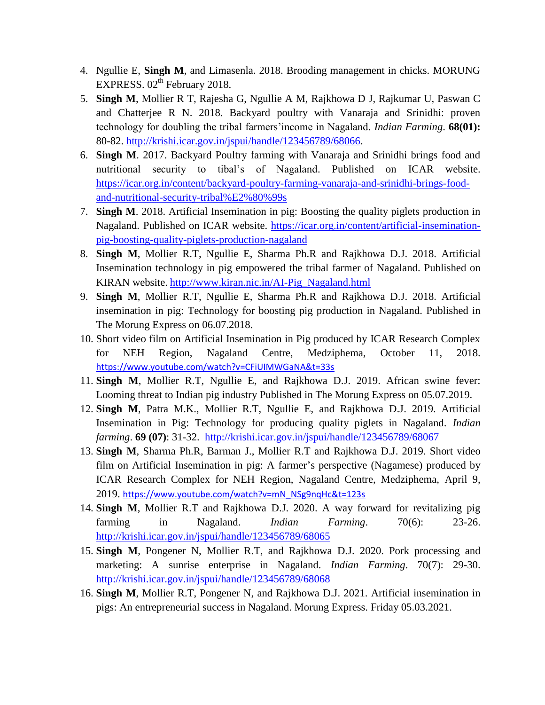- 4. Ngullie E, **Singh M**, and Limasenla. 2018. Brooding management in chicks. MORUNG EXPRESS.  $02<sup>th</sup>$  February 2018.
- 5. **Singh M**, Mollier R T, Rajesha G, Ngullie A M, Rajkhowa D J, Rajkumar U, Paswan C and Chatterjee R N. 2018. Backyard poultry with Vanaraja and Srinidhi: proven technology for doubling the tribal farmers'income in Nagaland. *Indian Farming*. **68(01):** 80-82. [http://krishi.icar.gov.in/jspui/handle/123456789/68066.](http://krishi.icar.gov.in/jspui/handle/123456789/68066)
- 6. **Singh M**. 2017. Backyard Poultry farming with Vanaraja and Srinidhi brings food and nutritional security to tibal's of Nagaland. Published on ICAR website. [https://icar.org.in/content/backyard-poultry-farming-vanaraja-and-srinidhi-brings-food](https://icar.org.in/content/backyard-poultry-farming-vanaraja-and-srinidhi-brings-food-and-nutritional-security-tribal%E2%80%99s)[and-nutritional-security-tribal%E2%80%99s](https://icar.org.in/content/backyard-poultry-farming-vanaraja-and-srinidhi-brings-food-and-nutritional-security-tribal%E2%80%99s)
- 7. **Singh M**. 2018. Artificial Insemination in pig: Boosting the quality piglets production in Nagaland. Published on ICAR website. [https://icar.org.in/content/artificial-insemination](https://icar.org.in/content/artificial-insemination-pig-boosting-quality-piglets-production-nagaland)[pig-boosting-quality-piglets-production-nagaland](https://icar.org.in/content/artificial-insemination-pig-boosting-quality-piglets-production-nagaland)
- 8. **Singh M**, Mollier R.T, Ngullie E, Sharma Ph.R and Rajkhowa D.J. 2018. Artificial Insemination technology in pig empowered the tribal farmer of Nagaland. Published on KIRAN website. [http://www.kiran.nic.in/AI-Pig\\_Nagaland.html](http://www.kiran.nic.in/AI-Pig_Nagaland.html)
- 9. **Singh M**, Mollier R.T, Ngullie E, Sharma Ph.R and Rajkhowa D.J. 2018. Artificial insemination in pig: Technology for boosting pig production in Nagaland. Published in The Morung Express on 06.07.2018.
- 10. Short video film on Artificial Insemination in Pig produced by ICAR Research Complex for NEH Region, Nagaland Centre, Medziphema, October 11, 2018. <https://www.youtube.com/watch?v=CFiUIMWGaNA&t=33s>
- 11. **Singh M**, Mollier R.T, Ngullie E, and Rajkhowa D.J. 2019. African swine fever: Looming threat to Indian pig industry Published in The Morung Express on 05.07.2019.
- 12. **Singh M**, Patra M.K., Mollier R.T, Ngullie E, and Rajkhowa D.J. 2019. Artificial Insemination in Pig: Technology for producing quality piglets in Nagaland. *Indian farming*. **69 (07)**: 31-32. <http://krishi.icar.gov.in/jspui/handle/123456789/68067>
- 13. **Singh M**, Sharma Ph.R, Barman J., Mollier R.T and Rajkhowa D.J. 2019. Short video film on Artificial Insemination in pig: A farmer's perspective (Nagamese) produced by ICAR Research Complex for NEH Region, Nagaland Centre, Medziphema, April 9, 2019. [https://www.youtube.com/watch?v=mN\\_NSg9nqHc&t=123s](https://www.youtube.com/watch?v=mN_NSg9nqHc&t=123s)
- 14. **Singh M**, Mollier R.T and Rajkhowa D.J. 2020. A way forward for revitalizing pig farming in Nagaland. *Indian Farming*. 70(6): 23-26. <http://krishi.icar.gov.in/jspui/handle/123456789/68065>
- 15. **Singh M**, Pongener N, Mollier R.T, and Rajkhowa D.J. 2020. Pork processing and marketing: A sunrise enterprise in Nagaland. *Indian Farming*. 70(7): 29-30. <http://krishi.icar.gov.in/jspui/handle/123456789/68068>
- 16. **Singh M**, Mollier R.T, Pongener N, and Rajkhowa D.J. 2021. Artificial insemination in pigs: An entrepreneurial success in Nagaland. Morung Express. Friday 05.03.2021.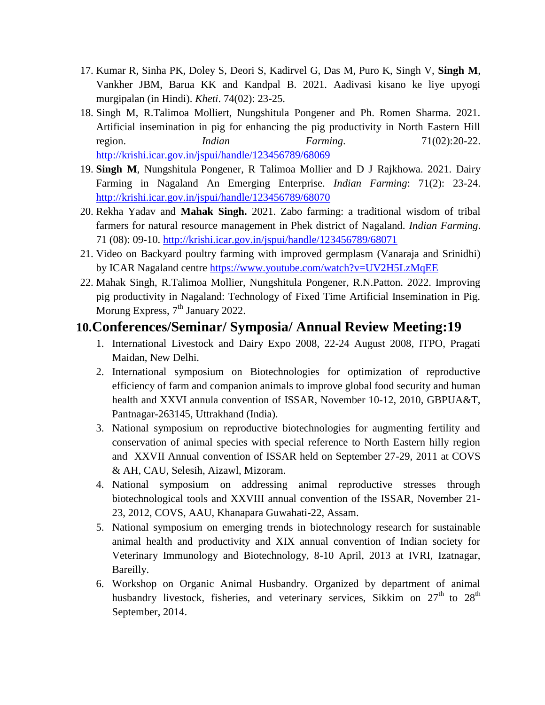- 17. Kumar R, Sinha PK, Doley S, Deori S, Kadirvel G, Das M, Puro K, Singh V, **Singh M**, Vankher JBM, Barua KK and Kandpal B. 2021. Aadivasi kisano ke liye upyogi murgipalan (in Hindi). *Kheti*. 74(02): 23-25.
- 18. Singh M, R.Talimoa Molliert, Nungshitula Pongener and Ph. Romen Sharma. 2021. Artificial insemination in pig for enhancing the pig productivity in North Eastern Hill region. *Indian Farming*. 71(02):20-22. <http://krishi.icar.gov.in/jspui/handle/123456789/68069>
- 19. **Singh M**, Nungshitula Pongener, R Talimoa Mollier and D J Rajkhowa. 2021. Dairy Farming in Nagaland An Emerging Enterprise. *Indian Farming*: 71(2): 23-24. <http://krishi.icar.gov.in/jspui/handle/123456789/68070>
- 20. Rekha Yadav and **Mahak Singh.** 2021. Zabo farming: a traditional wisdom of tribal farmers for natural resource management in Phek district of Nagaland. *Indian Farming*. 71 (08): 09-10. <http://krishi.icar.gov.in/jspui/handle/123456789/68071>
- 21. Video on Backyard poultry farming with improved germplasm (Vanaraja and Srinidhi) by ICAR Nagaland centre<https://www.youtube.com/watch?v=UV2H5LzMqEE>
- 22. Mahak Singh, R.Talimoa Mollier, Nungshitula Pongener, R.N.Patton. 2022. Improving pig productivity in Nagaland: Technology of Fixed Time Artificial Insemination in Pig. Morung Express,  $7<sup>th</sup>$  January 2022.

### **10.Conferences/Seminar/ Symposia/ Annual Review Meeting:19**

- 1. International Livestock and Dairy Expo 2008, 22-24 August 2008, ITPO, Pragati Maidan, New Delhi.
- 2. International symposium on Biotechnologies for optimization of reproductive efficiency of farm and companion animals to improve global food security and human health and XXVI annula convention of ISSAR, November 10-12, 2010, GBPUA&T, Pantnagar-263145, Uttrakhand (India).
- 3. National symposium on reproductive biotechnologies for augmenting fertility and conservation of animal species with special reference to North Eastern hilly region and XXVII Annual convention of ISSAR held on September 27-29, 2011 at COVS & AH, CAU, Selesih, Aizawl, Mizoram.
- 4. National symposium on addressing animal reproductive stresses through biotechnological tools and XXVIII annual convention of the ISSAR, November 21- 23, 2012, COVS, AAU, Khanapara Guwahati-22, Assam.
- 5. National symposium on emerging trends in biotechnology research for sustainable animal health and productivity and XIX annual convention of Indian society for Veterinary Immunology and Biotechnology, 8-10 April, 2013 at IVRI, Izatnagar, Bareilly.
- 6. Workshop on Organic Animal Husbandry. Organized by department of animal husbandry livestock, fisheries, and veterinary services, Sikkim on  $27<sup>th</sup>$  to  $28<sup>th</sup>$ September, 2014.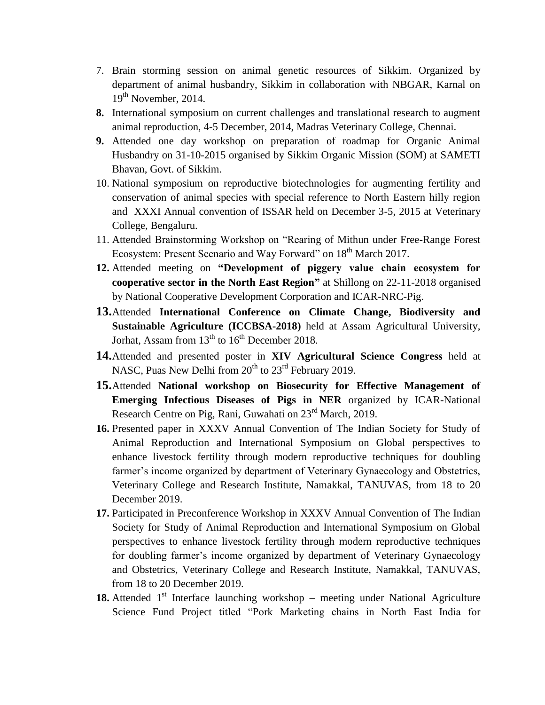- 7. Brain storming session on animal genetic resources of Sikkim. Organized by department of animal husbandry, Sikkim in collaboration with NBGAR, Karnal on 19<sup>th</sup> November, 2014.
- **8.** International symposium on current challenges and translational research to augment animal reproduction, 4-5 December, 2014, Madras Veterinary College, Chennai.
- **9.** Attended one day workshop on preparation of roadmap for Organic Animal Husbandry on 31-10-2015 organised by Sikkim Organic Mission (SOM) at SAMETI Bhavan, Govt. of Sikkim.
- 10. National symposium on reproductive biotechnologies for augmenting fertility and conservation of animal species with special reference to North Eastern hilly region and XXXI Annual convention of ISSAR held on December 3-5, 2015 at Veterinary College, Bengaluru.
- 11. Attended Brainstorming Workshop on "Rearing of Mithun under Free-Range Forest Ecosystem: Present Scenario and Way Forward" on 18<sup>th</sup> March 2017.
- **12.** Attended meeting on **"Development of piggery value chain ecosystem for cooperative sector in the North East Region"** at Shillong on 22-11-2018 organised by National Cooperative Development Corporation and ICAR-NRC-Pig.
- **13.**Attended **International Conference on Climate Change, Biodiversity and Sustainable Agriculture (ICCBSA-2018)** held at Assam Agricultural University, Jorhat, Assam from  $13<sup>th</sup>$  to  $16<sup>th</sup>$  December 2018.
- **14.**Attended and presented poster in **XIV Agricultural Science Congress** held at NASC, Puas New Delhi from  $20^{th}$  to  $23^{rd}$  February 2019.
- **15.**Attended **National workshop on Biosecurity for Effective Management of Emerging Infectious Diseases of Pigs in NER** organized by ICAR-National Research Centre on Pig, Rani, Guwahati on 23<sup>rd</sup> March, 2019.
- **16.** Presented paper in XXXV Annual Convention of The Indian Society for Study of Animal Reproduction and International Symposium on Global perspectives to enhance livestock fertility through modern reproductive techniques for doubling farmer's income organized by department of Veterinary Gynaecology and Obstetrics, Veterinary College and Research Institute, Namakkal, TANUVAS, from 18 to 20 December 2019.
- **17.** Participated in Preconference Workshop in XXXV Annual Convention of The Indian Society for Study of Animal Reproduction and International Symposium on Global perspectives to enhance livestock fertility through modern reproductive techniques for doubling farmer's income organized by department of Veterinary Gynaecology and Obstetrics, Veterinary College and Research Institute, Namakkal, TANUVAS, from 18 to 20 December 2019.
- 18. Attended 1<sup>st</sup> Interface launching workshop meeting under National Agriculture Science Fund Project titled "Pork Marketing chains in North East India for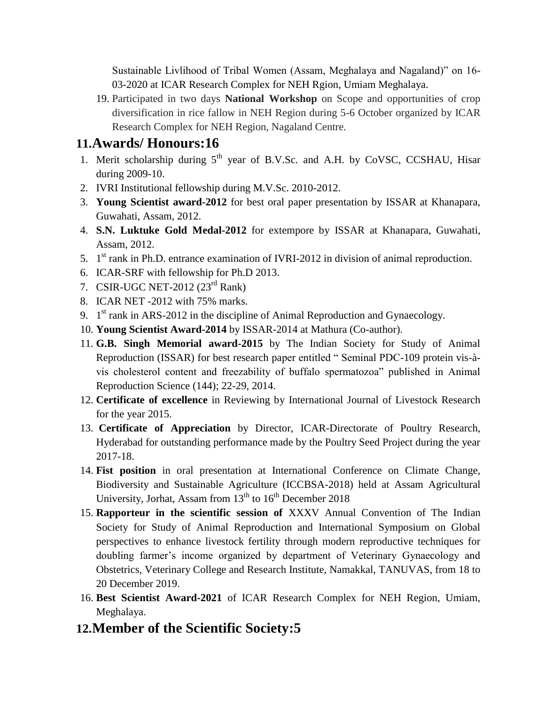Sustainable Livlihood of Tribal Women (Assam, Meghalaya and Nagaland)" on 16- 03-2020 at ICAR Research Complex for NEH Rgion, Umiam Meghalaya.

19. Participated in two days **National Workshop** on Scope and opportunities of crop diversification in rice fallow in NEH Region during 5-6 October organized by ICAR Research Complex for NEH Region, Nagaland Centre.

# **11.Awards/ Honours:16**

- 1. Merit scholarship during 5<sup>th</sup> year of B.V.Sc. and A.H. by CoVSC, CCSHAU, Hisar during 2009-10.
- 2. IVRI Institutional fellowship during M.V.Sc. 2010-2012.
- 3. **Young Scientist award-2012** for best oral paper presentation by ISSAR at Khanapara, Guwahati, Assam, 2012.
- 4. **S.N. Luktuke Gold Medal-2012** for extempore by ISSAR at Khanapara, Guwahati, Assam, 2012.
- 5.  $1<sup>st</sup>$  rank in Ph.D. entrance examination of IVRI-2012 in division of animal reproduction.
- 6. ICAR-SRF with fellowship for Ph.D 2013.
- 7. CSIR-UGC NET-2012 (23rd Rank)
- 8. ICAR NET -2012 with 75% marks.
- 9.  $1<sup>st</sup>$  rank in ARS-2012 in the discipline of Animal Reproduction and Gynaecology.
- 10. **Young Scientist Award-2014** by ISSAR-2014 at Mathura (Co-author).
- 11. **G.B. Singh Memorial award-2015** by The Indian Society for Study of Animal Reproduction (ISSAR) for best research paper entitled " Seminal PDC-109 protein vis-àvis cholesterol content and freezability of buffalo spermatozoa" published in Animal Reproduction Science (144); 22-29, 2014.
- 12. **Certificate of excellence** in Reviewing by International Journal of Livestock Research for the year 2015.
- 13. **Certificate of Appreciation** by Director, ICAR-Directorate of Poultry Research, Hyderabad for outstanding performance made by the Poultry Seed Project during the year 2017-18.
- 14. **Fist position** in oral presentation at International Conference on Climate Change, Biodiversity and Sustainable Agriculture (ICCBSA-2018) held at Assam Agricultural University, Jorhat, Assam from  $13<sup>th</sup>$  to  $16<sup>th</sup>$  December 2018
- 15. **Rapporteur in the scientific session of** XXXV Annual Convention of The Indian Society for Study of Animal Reproduction and International Symposium on Global perspectives to enhance livestock fertility through modern reproductive techniques for doubling farmer's income organized by department of Veterinary Gynaecology and Obstetrics, Veterinary College and Research Institute, Namakkal, TANUVAS, from 18 to 20 December 2019.
- 16. **Best Scientist Award-2021** of ICAR Research Complex for NEH Region, Umiam, Meghalaya.
- **12.Member of the Scientific Society:5**